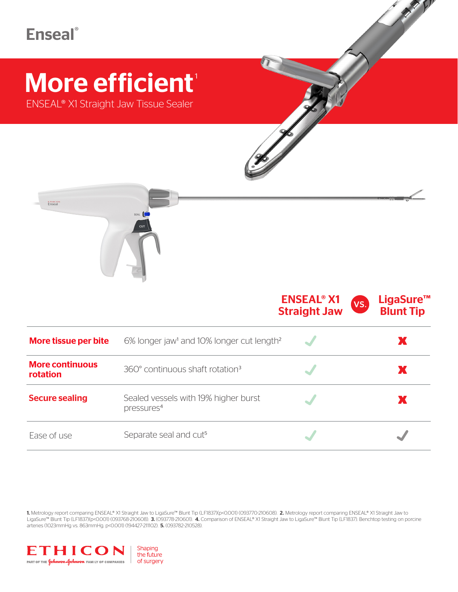# **Enseal**®

# More efficient<sup>®</sup>

ENSEAL® X1 Straight Jaw Tissue Sealer



|                                    |                                                                   | <b>ENSEAL<sup>®</sup> X1</b><br><b>Straight Jaw</b> | VS. | LigaSure <sup>™</sup><br><b>Blunt Tip</b> |
|------------------------------------|-------------------------------------------------------------------|-----------------------------------------------------|-----|-------------------------------------------|
| More tissue per bite               | 6% longer jaw <sup>1</sup> and 10% longer cut length <sup>2</sup> |                                                     |     | Х                                         |
| <b>More continuous</b><br>rotation | 360° continuous shaft rotation <sup>3</sup>                       |                                                     |     | Х                                         |
| <b>Secure sealing</b>              | Sealed vessels with 19% higher burst<br>pressures <sup>4</sup>    |                                                     |     | Х                                         |
| Ease of use                        | Separate seal and cut <sup>5</sup>                                |                                                     |     |                                           |

1. Metrology report comparing ENSEAL® X1 Straight Jaw to LigaSure™ Blunt Tip (LF1837)(p<0.001) (093770-210608). 2. Metrology report comparing ENSEAL® X1 Straight Jaw to LigaSure™ Blunt Tip (LF1837)(p<0.001) (093768-210608). 3. (093778-210601). 4. Comparison of ENSEAL® X1 Straight Jaw to LigaSure™ Blunt Tip (LF1837). Benchtop testing on porcine arteries (1023mmHg vs. 863mmHg. p<0.001) (194427-211102). 5. (093782-210528).